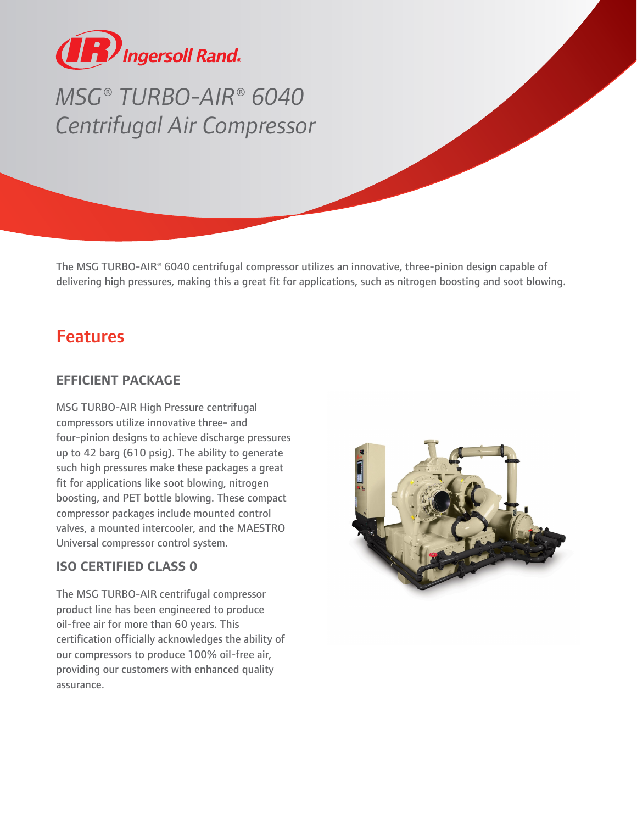

# *MSG® TURBO-AIR® 6040 Centrifugal Air Compressor*

The MSG TURBO-AIR® 6040 centrifugal compressor utilizes an innovative, three-pinion design capable of delivering high pressures, making this a great fit for applications, such as nitrogen boosting and soot blowing.

# Features

## **EFFICIENT PACKAGE**

MSG TURBO-AIR High Pressure centrifugal compressors utilize innovative three- and four-pinion designs to achieve discharge pressures up to 42 barg (610 psig). The ability to generate such high pressures make these packages a great fit for applications like soot blowing, nitrogen boosting, and PET bottle blowing. These compact compressor packages include mounted control valves, a mounted intercooler, and the MAESTRO Universal compressor control system.

## **ISO CERTIFIED CLASS 0**

The MSG TURBO-AIR centrifugal compressor product line has been engineered to produce oil-free air for more than 60 years. This certification officially acknowledges the ability of our compressors to produce 100% oil-free air, providing our customers with enhanced quality assurance.

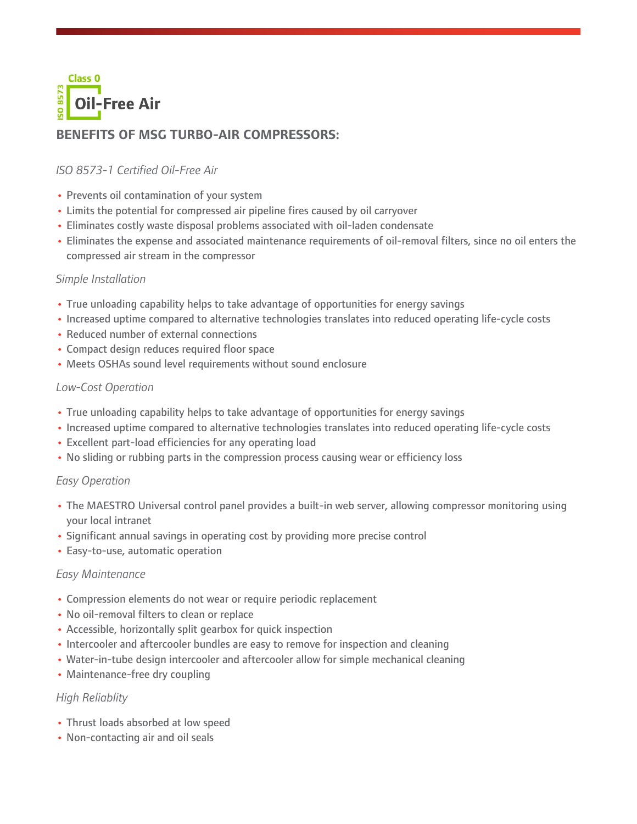

# **BENEFITS OF MSG TURBO-AIR COMPRESSORS:**

### *ISO 8573-1 Certified Oil-Free Air*

- **•** Prevents oil contamination of your system
- **•** Limits the potential for compressed air pipeline fires caused by oil carryover
- **•** Eliminates costly waste disposal problems associated with oil-laden condensate
- **•** Eliminates the expense and associated maintenance requirements of oil-removal filters, since no oil enters the compressed air stream in the compressor

#### *Simple Installation*

- **•** True unloading capability helps to take advantage of opportunities for energy savings
- **•** Increased uptime compared to alternative technologies translates into reduced operating life-cycle costs
- **•** Reduced number of external connections
- **•** Compact design reduces required floor space
- **•** Meets OSHAs sound level requirements without sound enclosure

#### *Low-Cost Operation*

- **•** True unloading capability helps to take advantage of opportunities for energy savings
- **•** Increased uptime compared to alternative technologies translates into reduced operating life-cycle costs
- **•** Excellent part-load efficiencies for any operating load
- **•** No sliding or rubbing parts in the compression process causing wear or efficiency loss

#### *Easy Operation*

- **•** The MAESTRO Universal control panel provides a built-in web server, allowing compressor monitoring using your local intranet
- **•** Significant annual savings in operating cost by providing more precise control
- **•** Easy-to-use, automatic operation

#### *Easy Maintenance*

- **•** Compression elements do not wear or require periodic replacement
- **•** No oil-removal filters to clean or replace
- **•** Accessible, horizontally split gearbox for quick inspection
- **•** Intercooler and aftercooler bundles are easy to remove for inspection and cleaning
- **•** Water-in-tube design intercooler and aftercooler allow for simple mechanical cleaning
- **•** Maintenance-free dry coupling

#### *High Reliablity*

- **•** Thrust loads absorbed at low speed
- **•** Non-contacting air and oil seals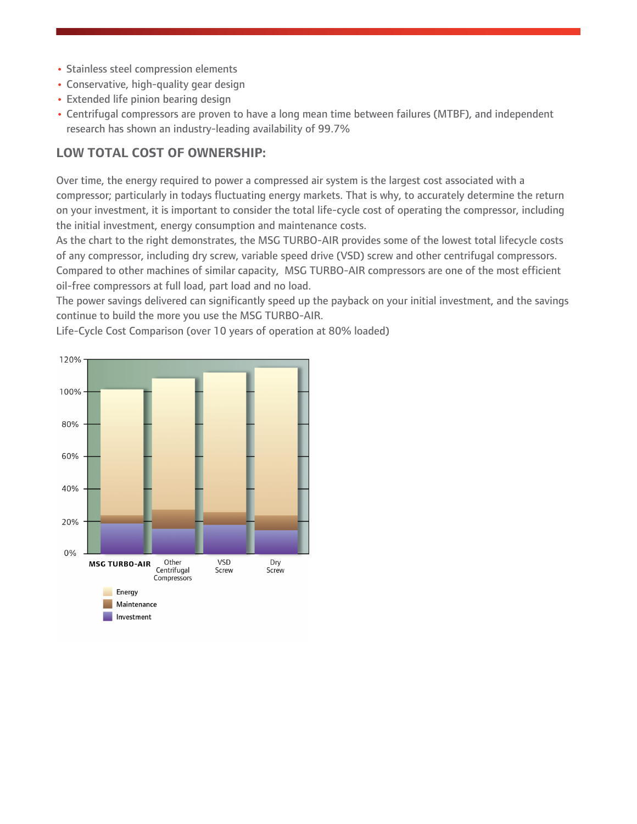- **•** Stainless steel compression elements
- **•** Conservative, high-quality gear design
- **•** Extended life pinion bearing design
- **•** Centrifugal compressors are proven to have a long mean time between failures (MTBF), and independent research has shown an industry-leading availability of 99.7%

### **LOW TOTAL COST OF OWNERSHIP:**

Over time, the energy required to power a compressed air system is the largest cost associated with a compressor; particularly in todays fluctuating energy markets. That is why, to accurately determine the return on your investment, it is important to consider the total life-cycle cost of operating the compressor, including the initial investment, energy consumption and maintenance costs.

As the chart to the right demonstrates, the MSG TURBO-AIR provides some of the lowest total lifecycle costs of any compressor, including dry screw, variable speed drive (VSD) screw and other centrifugal compressors. Compared to other machines of similar capacity, MSG TURBO-AIR compressors are one of the most efficient oil-free compressors at full load, part load and no load.

The power savings delivered can significantly speed up the payback on your initial investment, and the savings continue to build the more you use the MSG TURBO-AIR.



Life-Cycle Cost Comparison (over 10 years of operation at 80% loaded)